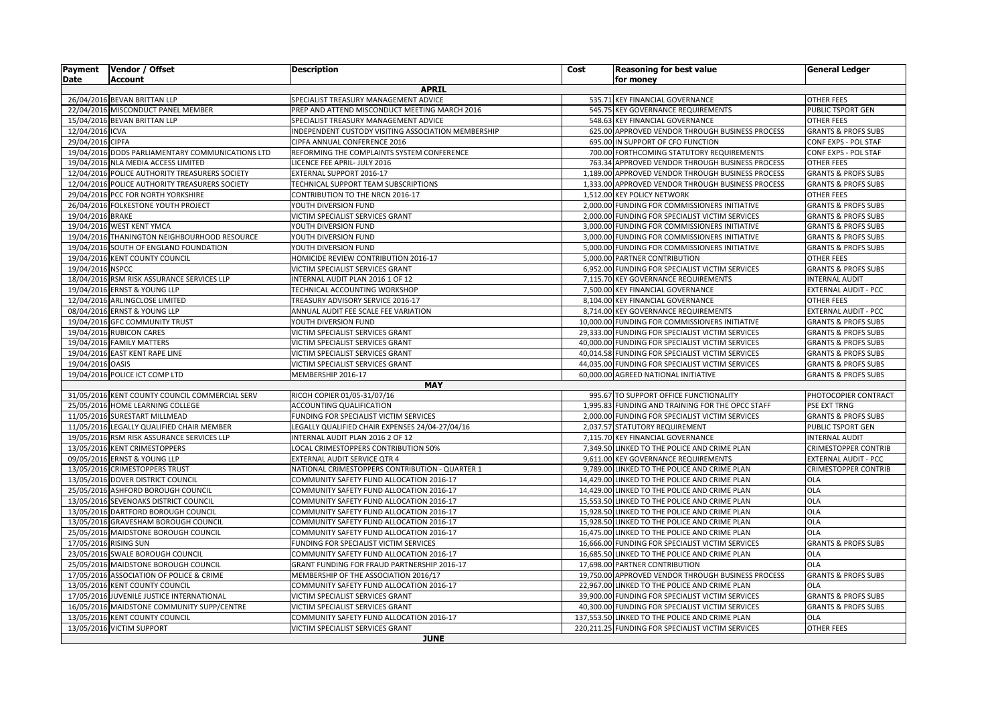| <b>Payment</b>   | Vendor / Offset                                                                                                               | <b>Description</b>                                                                 | Cost | <b>Reasoning for best value</b>                                                                   | <b>General Ledger</b>                                            |  |
|------------------|-------------------------------------------------------------------------------------------------------------------------------|------------------------------------------------------------------------------------|------|---------------------------------------------------------------------------------------------------|------------------------------------------------------------------|--|
| <b>Date</b>      | <b>Account</b>                                                                                                                | <b>APRIL</b>                                                                       |      | for money                                                                                         |                                                                  |  |
|                  | 26/04/2016 BEVAN BRITTAN LLP<br>535.71 KEY FINANCIAL GOVERNANCE<br><b>OTHER FEES</b><br>SPECIALIST TREASURY MANAGEMENT ADVICE |                                                                                    |      |                                                                                                   |                                                                  |  |
|                  | 22/04/2016 MISCONDUCT PANEL MEMBER                                                                                            | PREP AND ATTEND MISCONDUCT MEETING MARCH 2016                                      |      | 545.75 KEY GOVERNANCE REQUIREMENTS                                                                | PUBLIC TSPORT GEN                                                |  |
|                  | 15/04/2016 BEVAN BRITTAN LLP                                                                                                  | SPECIALIST TREASURY MANAGEMENT ADVICE                                              |      | 548.63 KEY FINANCIAL GOVERNANCE                                                                   | <b>OTHER FEES</b>                                                |  |
| 12/04/2016 ICVA  |                                                                                                                               | NDEPENDENT CUSTODY VISITING ASSOCIATION MEMBERSHIP                                 |      | 625.00 APPROVED VENDOR THROUGH BUSINESS PROCESS                                                   | <b>GRANTS &amp; PROFS SUBS</b>                                   |  |
| 29/04/2016 CIPFA |                                                                                                                               | CIPFA ANNUAL CONFERENCE 2016                                                       |      | 695.00 IN SUPPORT OF CFO FUNCTION                                                                 | CONF EXPS - POL STAF                                             |  |
|                  | 19/04/2016 DODS PARLIAMENTARY COMMUNICATIONS LTD                                                                              | REFORMING THE COMPLAINTS SYSTEM CONFERENCE                                         |      | 700.00 FORTHCOMING STATUTORY REQUIREMENTS                                                         | CONF EXPS - POL STAF                                             |  |
|                  | 19/04/2016 NLA MEDIA ACCESS LIMITED                                                                                           | LICENCE FEE APRIL- JULY 2016                                                       |      | 763.34 APPROVED VENDOR THROUGH BUSINESS PROCESS                                                   | <b>OTHER FEES</b>                                                |  |
|                  | 12/04/2016 POLICE AUTHORITY TREASURERS SOCIETY                                                                                | EXTERNAL SUPPORT 2016-17                                                           |      | 1,189.00 APPROVED VENDOR THROUGH BUSINESS PROCESS                                                 | <b>GRANTS &amp; PROFS SUBS</b>                                   |  |
|                  | 12/04/2016 POLICE AUTHORITY TREASURERS SOCIETY                                                                                | TECHNICAL SUPPORT TEAM SUBSCRIPTIONS                                               |      | 1,333.00 APPROVED VENDOR THROUGH BUSINESS PROCESS                                                 | <b>GRANTS &amp; PROFS SUBS</b>                                   |  |
|                  | 29/04/2016 PCC FOR NORTH YORKSHIRE                                                                                            | CONTRIBUTION TO THE NRCN 2016-17                                                   |      | 1,512.00 KEY POLICY NETWORK                                                                       | OTHER FEES                                                       |  |
|                  | 26/04/2016 FOLKESTONE YOUTH PROJECT                                                                                           | YOUTH DIVERSION FUND                                                               |      | 2,000.00 FUNDING FOR COMMISSIONERS INITIATIVE                                                     | <b>GRANTS &amp; PROFS SUBS</b>                                   |  |
| 19/04/2016 BRAKE |                                                                                                                               | VICTIM SPECIALIST SERVICES GRANT                                                   |      | 2,000.00 FUNDING FOR SPECIALIST VICTIM SERVICES                                                   | <b>GRANTS &amp; PROFS SUBS</b>                                   |  |
|                  | 19/04/2016 WEST KENT YMCA                                                                                                     | YOUTH DIVERSION FUND                                                               |      | 3,000.00 FUNDING FOR COMMISSIONERS INITIATIVE                                                     | <b>GRANTS &amp; PROFS SUBS</b>                                   |  |
|                  | 19/04/2016 THANINGTON NEIGHBOURHOOD RESOURCE                                                                                  | YOUTH DIVERSION FUND                                                               |      | 3,000.00 FUNDING FOR COMMISSIONERS INITIATIVE                                                     | <b>GRANTS &amp; PROFS SUBS</b>                                   |  |
|                  | 19/04/2016 SOUTH OF ENGLAND FOUNDATION                                                                                        | YOUTH DIVERSION FUND                                                               |      | 5,000.00 FUNDING FOR COMMISSIONERS INITIATIVE                                                     | <b>GRANTS &amp; PROFS SUBS</b>                                   |  |
|                  | 19/04/2016 KENT COUNTY COUNCIL                                                                                                | HOMICIDE REVIEW CONTRIBUTION 2016-17                                               |      | 5,000.00 PARTNER CONTRIBUTION                                                                     | OTHER FEES                                                       |  |
| 19/04/2016 NSPCC |                                                                                                                               | VICTIM SPECIALIST SERVICES GRANT                                                   |      | 6,952.00 FUNDING FOR SPECIALIST VICTIM SERVICES                                                   | <b>GRANTS &amp; PROFS SUBS</b>                                   |  |
|                  | 18/04/2016 RSM RISK ASSURANCE SERVICES LLP                                                                                    | NTERNAL AUDIT PLAN 2016 1 OF 12                                                    |      | 7,115.70 KEY GOVERNANCE REQUIREMENTS                                                              | <b>INTERNAL AUDIT</b>                                            |  |
|                  | 19/04/2016 ERNST & YOUNG LLP                                                                                                  | TECHNICAL ACCOUNTING WORKSHOP                                                      |      | 7,500.00 KEY FINANCIAL GOVERNANCE                                                                 | <b>EXTERNAL AUDIT - PCC</b>                                      |  |
|                  | 12/04/2016 ARLINGCLOSE LIMITED                                                                                                | TREASURY ADVISORY SERVICE 2016-17                                                  |      | 8,104.00 KEY FINANCIAL GOVERNANCE                                                                 | <b>OTHER FEES</b>                                                |  |
|                  | 08/04/2016 ERNST & YOUNG LLP                                                                                                  | ANNUAL AUDIT FEE SCALE FEE VARIATION                                               |      | 8,714.00 KEY GOVERNANCE REQUIREMENTS                                                              | EXTERNAL AUDIT - PCC                                             |  |
|                  | 19/04/2016 GFC COMMUNITY TRUST                                                                                                | YOUTH DIVERSION FUND                                                               |      | 10,000.00 FUNDING FOR COMMISSIONERS INITIATIVE                                                    | <b>GRANTS &amp; PROFS SUBS</b>                                   |  |
|                  | 19/04/2016 RUBICON CARES                                                                                                      | VICTIM SPECIALIST SERVICES GRANT                                                   |      | 29,333.00 FUNDING FOR SPECIALIST VICTIM SERVICES                                                  | <b>GRANTS &amp; PROFS SUBS</b>                                   |  |
|                  | 19/04/2016 FAMILY MATTERS                                                                                                     | VICTIM SPECIALIST SERVICES GRANT                                                   |      | 40,000.00 FUNDING FOR SPECIALIST VICTIM SERVICES                                                  | <b>GRANTS &amp; PROFS SUBS</b>                                   |  |
|                  | 19/04/2016 EAST KENT RAPE LINE                                                                                                | VICTIM SPECIALIST SERVICES GRANT                                                   |      | 40,014.58 FUNDING FOR SPECIALIST VICTIM SERVICES                                                  | <b>GRANTS &amp; PROFS SUBS</b>                                   |  |
| 19/04/2016 OASIS |                                                                                                                               | VICTIM SPECIALIST SERVICES GRANT                                                   |      | 44,035.00 FUNDING FOR SPECIALIST VICTIM SERVICES                                                  | <b>GRANTS &amp; PROFS SUBS</b>                                   |  |
|                  | 19/04/2016 POLICE ICT COMP LTD                                                                                                | MEMBERSHIP 2016-17                                                                 |      | 60,000.00 AGREED NATIONAL INITIATIVE                                                              | <b>GRANTS &amp; PROFS SUBS</b>                                   |  |
|                  |                                                                                                                               | <b>MAY</b>                                                                         |      |                                                                                                   |                                                                  |  |
|                  | 31/05/2016 KENT COUNTY COUNCIL COMMERCIAL SERV                                                                                | RICOH COPIER 01/05-31/07/16                                                        |      | 995.67 TO SUPPORT OFFICE FUNCTIONALITY                                                            | PHOTOCOPIER CONTRACT                                             |  |
|                  | 25/05/2016 HOME LEARNING COLLEGE                                                                                              | ACCOUNTING QUALIFICATION                                                           |      | 1,995.83 FUNDING AND TRAINING FOR THE OPCC STAFF                                                  | PSE EXT TRNG                                                     |  |
|                  | 11/05/2016 SURESTART MILLMEAD                                                                                                 | FUNDING FOR SPECIALIST VICTIM SERVICES                                             |      | 2,000.00 FUNDING FOR SPECIALIST VICTIM SERVICES                                                   | <b>GRANTS &amp; PROFS SUBS</b>                                   |  |
|                  | 11/05/2016 LEGALLY QUALIFIED CHAIR MEMBER                                                                                     | LEGALLY QUALIFIED CHAIR EXPENSES 24/04-27/04/16                                    |      | 2,037.57 STATUTORY REQUIREMENT                                                                    | PUBLIC TSPORT GEN                                                |  |
|                  | 19/05/2016 RSM RISK ASSURANCE SERVICES LLP                                                                                    | NTERNAL AUDIT PLAN 2016 2 OF 12                                                    |      | 7,115.70 KEY FINANCIAL GOVERNANCE                                                                 | <b>INTERNAL AUDIT</b>                                            |  |
|                  | 13/05/2016 KENT CRIMESTOPPERS                                                                                                 | LOCAL CRIMESTOPPERS CONTRIBUTION 50%                                               |      | 7,349.50 LINKED TO THE POLICE AND CRIME PLAN                                                      | <b>CRIMESTOPPER CONTRIB</b>                                      |  |
|                  | 09/05/2016 ERNST & YOUNG LLP                                                                                                  | EXTERNAL AUDIT SERVICE QTR 4                                                       |      | 9,611.00 KEY GOVERNANCE REQUIREMENTS                                                              | EXTERNAL AUDIT - PCC                                             |  |
|                  | 13/05/2016 CRIMESTOPPERS TRUST                                                                                                | NATIONAL CRIMESTOPPERS CONTRIBUTION - QUARTER 1                                    |      | 9,789.00 LINKED TO THE POLICE AND CRIME PLAN                                                      | <b>CRIMESTOPPER CONTRIB</b>                                      |  |
|                  | 13/05/2016 DOVER DISTRICT COUNCIL                                                                                             | COMMUNITY SAFETY FUND ALLOCATION 2016-17                                           |      | 14,429.00 LINKED TO THE POLICE AND CRIME PLAN                                                     | <b>OLA</b>                                                       |  |
|                  | 25/05/2016 ASHFORD BOROUGH COUNCIL                                                                                            | COMMUNITY SAFETY FUND ALLOCATION 2016-17                                           |      | 14,429.00 LINKED TO THE POLICE AND CRIME PLAN                                                     | <b>OLA</b>                                                       |  |
|                  | 13/05/2016 SEVENOAKS DISTRICT COUNCIL                                                                                         | COMMUNITY SAFETY FUND ALLOCATION 2016-17                                           |      | 15,553.50 LINKED TO THE POLICE AND CRIME PLAN                                                     | OLA                                                              |  |
|                  | 13/05/2016 DARTFORD BOROUGH COUNCIL                                                                                           | COMMUNITY SAFETY FUND ALLOCATION 2016-17                                           |      | 15,928.50 LINKED TO THE POLICE AND CRIME PLAN                                                     | OLA                                                              |  |
|                  | 13/05/2016 GRAVESHAM BOROUGH COUNCIL                                                                                          | COMMUNITY SAFETY FUND ALLOCATION 2016-17                                           |      | 15,928.50 LINKED TO THE POLICE AND CRIME PLAN                                                     | <b>OLA</b>                                                       |  |
|                  | 25/05/2016 MAIDSTONE BOROUGH COUNCIL                                                                                          | COMMUNITY SAFETY FUND ALLOCATION 2016-17                                           |      | 16,475.00 LINKED TO THE POLICE AND CRIME PLAN                                                     | OLA                                                              |  |
|                  | 17/05/2016 RISING SUN                                                                                                         | FUNDING FOR SPECIALIST VICTIM SERVICES<br>COMMUNITY SAFETY FUND ALLOCATION 2016-17 |      | 16,666.00 FUNDING FOR SPECIALIST VICTIM SERVICES                                                  | <b>GRANTS &amp; PROFS SUBS</b><br>OLA                            |  |
|                  | 23/05/2016 SWALE BOROUGH COUNCIL                                                                                              |                                                                                    |      | 16,685.50 LINKED TO THE POLICE AND CRIME PLAN<br>17,698.00 PARTNER CONTRIBUTION                   | <b>OLA</b>                                                       |  |
|                  | 25/05/2016 MAIDSTONE BOROUGH COUNCIL                                                                                          | GRANT FUNDING FOR FRAUD PARTNERSHIP 2016-17                                        |      |                                                                                                   |                                                                  |  |
|                  | 17/05/2016 ASSOCIATION OF POLICE & CRIME<br>13/05/2016 KENT COUNTY COUNCIL                                                    | MEMBERSHIP OF THE ASSOCIATION 2016/17                                              |      | 19,750.00 APPROVED VENDOR THROUGH BUSINESS PROCESS                                                | <b>GRANTS &amp; PROFS SUBS</b><br>OLA                            |  |
|                  |                                                                                                                               | COMMUNITY SAFETY FUND ALLOCATION 2016-17                                           |      | 22,967.00 LINKED TO THE POLICE AND CRIME PLAN<br>39,900.00 FUNDING FOR SPECIALIST VICTIM SERVICES |                                                                  |  |
|                  | 17/05/2016 JUVENILE JUSTICE INTERNATIONAL<br>16/05/2016 MAIDSTONE COMMUNITY SUPP/CENTRE                                       | VICTIM SPECIALIST SERVICES GRANT<br>VICTIM SPECIALIST SERVICES GRANT               |      | 40,300.00 FUNDING FOR SPECIALIST VICTIM SERVICES                                                  | <b>GRANTS &amp; PROFS SUBS</b><br><b>GRANTS &amp; PROFS SUBS</b> |  |
|                  | 13/05/2016 KENT COUNTY COUNCIL                                                                                                | COMMUNITY SAFETY FUND ALLOCATION 2016-17                                           |      | 137,553.50 LINKED TO THE POLICE AND CRIME PLAN                                                    | OLA                                                              |  |
|                  | 13/05/2016 VICTIM SUPPORT                                                                                                     | VICTIM SPECIALIST SERVICES GRANT                                                   |      | 220,211.25 FUNDING FOR SPECIALIST VICTIM SERVICES                                                 | OTHER FEES                                                       |  |
|                  |                                                                                                                               | <b>JUNE</b>                                                                        |      |                                                                                                   |                                                                  |  |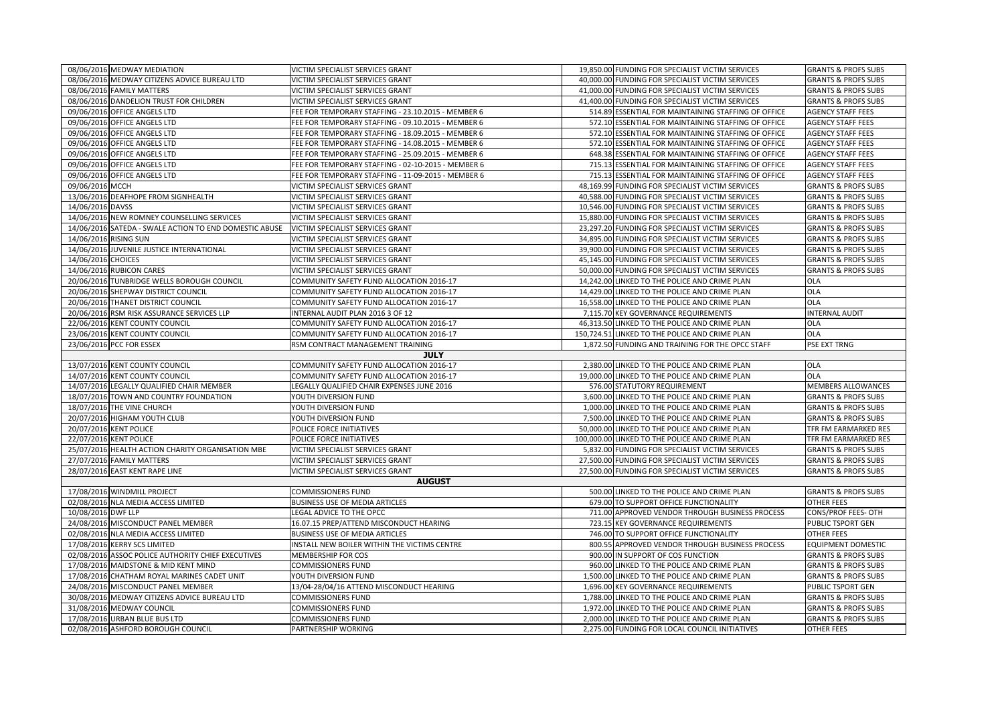| 08/06/2016 MEDWAY MEDIATION                                         |                                                        | VICTIM SPECIALIST SERVICES GRANT                   | 19,850.00 FUNDING FOR SPECIALIST VICTIM SERVICES                                               | <b>GRANTS &amp; PROFS SUBS</b>                      |
|---------------------------------------------------------------------|--------------------------------------------------------|----------------------------------------------------|------------------------------------------------------------------------------------------------|-----------------------------------------------------|
| 08/06/2016 MEDWAY CITIZENS ADVICE BUREAU LTD                        |                                                        | VICTIM SPECIALIST SERVICES GRANT                   | 40,000.00 FUNDING FOR SPECIALIST VICTIM SERVICES                                               | <b>GRANTS &amp; PROFS SUBS</b>                      |
| 08/06/2016 FAMILY MATTERS                                           |                                                        | VICTIM SPECIALIST SERVICES GRANT                   | 41,000.00 FUNDING FOR SPECIALIST VICTIM SERVICES                                               | <b>GRANTS &amp; PROFS SUBS</b>                      |
| 08/06/2016 DANDELION TRUST FOR CHILDREN                             |                                                        | VICTIM SPECIALIST SERVICES GRANT                   | 41,400.00 FUNDING FOR SPECIALIST VICTIM SERVICES                                               | <b>GRANTS &amp; PROFS SUBS</b>                      |
| 09/06/2016 OFFICE ANGELS LTD                                        |                                                        | FEE FOR TEMPORARY STAFFING - 23.10.2015 - MEMBER 6 | 514.89 ESSENTIAL FOR MAINTAINING STAFFING OF OFFICE                                            | <b>AGENCY STAFF FEES</b>                            |
| 09/06/2016 OFFICE ANGELS LTD                                        |                                                        | FEE FOR TEMPORARY STAFFING - 09.10.2015 - MEMBER 6 | 572.10 ESSENTIAL FOR MAINTAINING STAFFING OF OFFICE                                            | <b>AGENCY STAFF FEES</b>                            |
| 09/06/2016 OFFICE ANGELS LTD                                        |                                                        | FEE FOR TEMPORARY STAFFING - 18.09.2015 - MEMBER 6 | 572.10 ESSENTIAL FOR MAINTAINING STAFFING OF OFFICE                                            | <b>AGENCY STAFF FEES</b>                            |
| 09/06/2016 OFFICE ANGELS LTD                                        |                                                        | FEE FOR TEMPORARY STAFFING - 14.08.2015 - MEMBER 6 | 572.10 ESSENTIAL FOR MAINTAINING STAFFING OF OFFICE                                            | <b>AGENCY STAFF FEES</b>                            |
| 09/06/2016 OFFICE ANGELS LTD                                        |                                                        | FEE FOR TEMPORARY STAFFING - 25.09.2015 - MEMBER 6 | 648.38 ESSENTIAL FOR MAINTAINING STAFFING OF OFFICE                                            | <b>AGENCY STAFF FEES</b>                            |
| 09/06/2016 OFFICE ANGELS LTD                                        |                                                        | FEE FOR TEMPORARY STAFFING - 02-10-2015 - MEMBER 6 | 715.13 ESSENTIAL FOR MAINTAINING STAFFING OF OFFICE                                            | <b>AGENCY STAFF FEES</b>                            |
| 09/06/2016 OFFICE ANGELS LTD                                        |                                                        | FEE FOR TEMPORARY STAFFING - 11-09-2015 - MEMBER 6 | 715.13 ESSENTIAL FOR MAINTAINING STAFFING OF OFFICE                                            | <b>AGENCY STAFF FEES</b>                            |
| 09/06/2016 MCCH                                                     |                                                        | VICTIM SPECIALIST SERVICES GRANT                   | 48,169.99 FUNDING FOR SPECIALIST VICTIM SERVICES                                               | <b>GRANTS &amp; PROFS SUBS</b>                      |
| 13/06/2016 DEAFHOPE FROM SIGNHEALTH                                 |                                                        | VICTIM SPECIALIST SERVICES GRANT                   | 40,588.00 FUNDING FOR SPECIALIST VICTIM SERVICES                                               | <b>GRANTS &amp; PROFS SUBS</b>                      |
| 14/06/2016 DAVSS                                                    |                                                        | VICTIM SPECIALIST SERVICES GRANT                   | 10,546.00 FUNDING FOR SPECIALIST VICTIM SERVICES                                               | <b>GRANTS &amp; PROFS SUBS</b>                      |
| 14/06/2016 NEW ROMNEY COUNSELLING SERVICES                          |                                                        | VICTIM SPECIALIST SERVICES GRANT                   | 15,880.00 FUNDING FOR SPECIALIST VICTIM SERVICES                                               | <b>GRANTS &amp; PROFS SUBS</b>                      |
|                                                                     | 14/06/2016 SATEDA - SWALE ACTION TO END DOMESTIC ABUSE | VICTIM SPECIALIST SERVICES GRANT                   | 23,297.20 FUNDING FOR SPECIALIST VICTIM SERVICES                                               | <b>GRANTS &amp; PROFS SUBS</b>                      |
| 14/06/2016 RISING SUN                                               |                                                        | VICTIM SPECIALIST SERVICES GRANT                   | 34,895.00 FUNDING FOR SPECIALIST VICTIM SERVICES                                               | <b>GRANTS &amp; PROFS SUBS</b>                      |
| 14/06/2016 JUVENILE JUSTICE INTERNATIONAL                           |                                                        | VICTIM SPECIALIST SERVICES GRANT                   | 39,900.00 FUNDING FOR SPECIALIST VICTIM SERVICES                                               | <b>GRANTS &amp; PROFS SUBS</b>                      |
| 14/06/2016 CHOICES                                                  |                                                        | VICTIM SPECIALIST SERVICES GRANT                   | 45,145.00 FUNDING FOR SPECIALIST VICTIM SERVICES                                               | <b>GRANTS &amp; PROFS SUBS</b>                      |
| 14/06/2016 RUBICON CARES                                            |                                                        | VICTIM SPECIALIST SERVICES GRANT                   | 50,000.00 FUNDING FOR SPECIALIST VICTIM SERVICES                                               | <b>GRANTS &amp; PROFS SUBS</b>                      |
| 20/06/2016 TUNBRIDGE WELLS BOROUGH COUNCIL                          |                                                        | COMMUNITY SAFETY FUND ALLOCATION 2016-17           | 14,242.00 LINKED TO THE POLICE AND CRIME PLAN                                                  | <b>OLA</b>                                          |
| 20/06/2016 SHEPWAY DISTRICT COUNCIL                                 |                                                        | COMMUNITY SAFETY FUND ALLOCATION 2016-17           | 14,429.00 LINKED TO THE POLICE AND CRIME PLAN                                                  | <b>OLA</b>                                          |
| 20/06/2016 THANET DISTRICT COUNCIL                                  |                                                        | COMMUNITY SAFETY FUND ALLOCATION 2016-17           | 16,558.00 LINKED TO THE POLICE AND CRIME PLAN                                                  | <b>OLA</b>                                          |
| 20/06/2016 RSM RISK ASSURANCE SERVICES LLP                          |                                                        | INTERNAL AUDIT PLAN 2016 3 OF 12                   | 7,115.70 KEY GOVERNANCE REQUIREMENTS                                                           | <b>INTERNAL AUDIT</b>                               |
| 22/06/2016 KENT COUNTY COUNCIL                                      |                                                        | COMMUNITY SAFETY FUND ALLOCATION 2016-17           | 46,313.50 LINKED TO THE POLICE AND CRIME PLAN                                                  | <b>OLA</b>                                          |
| 23/06/2016 KENT COUNTY COUNCIL                                      |                                                        | COMMUNITY SAFETY FUND ALLOCATION 2016-17           | 150,724.51 LINKED TO THE POLICE AND CRIME PLAN                                                 | <b>OLA</b>                                          |
|                                                                     |                                                        |                                                    |                                                                                                |                                                     |
| 23/06/2016 PCC FOR ESSEX                                            |                                                        | RSM CONTRACT MANAGEMENT TRAINING                   | 1,872.50 FUNDING AND TRAINING FOR THE OPCC STAFF                                               | PSE EXT TRNG                                        |
|                                                                     |                                                        | <b>JULY</b>                                        |                                                                                                |                                                     |
| 13/07/2016 KENT COUNTY COUNCIL                                      |                                                        | COMMUNITY SAFETY FUND ALLOCATION 2016-17           | 2,380.00 LINKED TO THE POLICE AND CRIME PLAN                                                   | <b>OLA</b>                                          |
| 14/07/2016 KENT COUNTY COUNCIL                                      |                                                        | COMMUNITY SAFETY FUND ALLOCATION 2016-17           | 19,000.00 LINKED TO THE POLICE AND CRIME PLAN                                                  | <b>OLA</b>                                          |
| 14/07/2016 LEGALLY QUALIFIED CHAIR MEMBER                           |                                                        | LEGALLY QUALIFIED CHAIR EXPENSES JUNE 2016         | 576.00 STATUTORY REQUIREMENT                                                                   | <b>MEMBERS ALLOWANCES</b>                           |
| 18/07/2016 TOWN AND COUNTRY FOUNDATION                              |                                                        | YOUTH DIVERSION FUND                               | 3,600.00 LINKED TO THE POLICE AND CRIME PLAN                                                   | <b>GRANTS &amp; PROFS SUBS</b>                      |
| 18/07/2016 THE VINE CHURCH                                          |                                                        | YOUTH DIVERSION FUND                               | 1,000.00 LINKED TO THE POLICE AND CRIME PLAN                                                   | <b>GRANTS &amp; PROFS SUBS</b>                      |
| 20/07/2016 HIGHAM YOUTH CLUB                                        |                                                        | YOUTH DIVERSION FUND                               | 7,500.00 LINKED TO THE POLICE AND CRIME PLAN                                                   | <b>GRANTS &amp; PROFS SUBS</b>                      |
| 20/07/2016 KENT POLICE                                              |                                                        | POLICE FORCE INITIATIVES                           | 50,000.00 LINKED TO THE POLICE AND CRIME PLAN                                                  | TFR FM EARMARKED RES                                |
| 22/07/2016 KENT POLICE                                              |                                                        | POLICE FORCE INITIATIVES                           | 100,000.00 LINKED TO THE POLICE AND CRIME PLAN                                                 | TFR FM EARMARKED RES                                |
| 25/07/2016 HEALTH ACTION CHARITY ORGANISATION MBE                   |                                                        | VICTIM SPECIALIST SERVICES GRANT                   | 5,832.00 FUNDING FOR SPECIALIST VICTIM SERVICES                                                | <b>GRANTS &amp; PROFS SUBS</b>                      |
| 27/07/2016 FAMILY MATTERS                                           |                                                        | VICTIM SPECIALIST SERVICES GRANT                   | 27,500.00 FUNDING FOR SPECIALIST VICTIM SERVICES                                               | <b>GRANTS &amp; PROFS SUBS</b>                      |
| 28/07/2016 EAST KENT RAPE LINE                                      |                                                        | VICTIM SPECIALIST SERVICES GRANT                   | 27,500.00 FUNDING FOR SPECIALIST VICTIM SERVICES                                               | <b>GRANTS &amp; PROFS SUBS</b>                      |
|                                                                     |                                                        | <b>AUGUST</b>                                      |                                                                                                |                                                     |
| 17/08/2016 WINDMILL PROJECT                                         |                                                        | <b>COMMISSIONERS FUND</b>                          | 500.00 LINKED TO THE POLICE AND CRIME PLAN                                                     | <b>GRANTS &amp; PROFS SUBS</b>                      |
| 02/08/2016 NLA MEDIA ACCESS LIMITED                                 |                                                        | BUSINESS USE OF MEDIA ARTICLES                     | 679.00 TO SUPPORT OFFICE FUNCTIONALITY                                                         | <b>OTHER FEES</b>                                   |
| 10/08/2016 DWF LLP                                                  |                                                        | LEGAL ADVICE TO THE OPCC                           | 711.00 APPROVED VENDOR THROUGH BUSINESS PROCESS                                                | CONS/PROF FEES- OTH                                 |
| 24/08/2016 MISCONDUCT PANEL MEMBER                                  |                                                        | 16.07.15 PREP/ATTEND MISCONDUCT HEARING            | 723.15 KEY GOVERNANCE REQUIREMENTS                                                             | PUBLIC TSPORT GEN                                   |
| 02/08/2016 NLA MEDIA ACCESS LIMITED                                 |                                                        | BUSINESS USE OF MEDIA ARTICLES                     | 746.00 TO SUPPORT OFFICE FUNCTIONALITY                                                         | <b>OTHER FEES</b>                                   |
| 17/08/2016 KERRY SCS LIMITED                                        |                                                        | INSTALL NEW BOILER WITHIN THE VICTIMS CENTRE       | 800.55 APPROVED VENDOR THROUGH BUSINESS PROCESS                                                | <b>EQUIPMENT DOMESTIC</b>                           |
| 02/08/2016 ASSOC POLICE AUTHORITY CHIEF EXECUTIVES                  |                                                        | MEMBERSHIP FOR COS                                 | 900.00 IN SUPPORT OF COS FUNCTION                                                              | <b>GRANTS &amp; PROFS SUBS</b>                      |
| 17/08/2016 MAIDSTONE & MID KENT MIND                                |                                                        | COMMISSIONERS FUND                                 | 960.00 LINKED TO THE POLICE AND CRIME PLAN                                                     | <b>GRANTS &amp; PROFS SUBS</b>                      |
| 17/08/2016                                                          | CHATHAM ROYAL MARINES CADET UNIT                       | YOUTH DIVERSION FUND                               | 1,500.00 LINKED TO THE POLICE AND CRIME PLAN                                                   | <b>GRANTS &amp; PROFS SUBS</b>                      |
| 24/08/2016 MISCONDUCT PANEL MEMBER                                  |                                                        | 13/04-28/04/16 ATTEND MISCONDUCT HEARING           | 1,696.00 KEY GOVERNANCE REQUIREMENTS                                                           | PUBLIC TSPORT GEN                                   |
| 30/08/2016 MEDWAY CITIZENS ADVICE BUREAU LTD                        |                                                        | COMMISSIONERS FUND                                 | 1,788.00 LINKED TO THE POLICE AND CRIME PLAN                                                   | <b>GRANTS &amp; PROFS SUBS</b>                      |
| 31/08/2016 MEDWAY COUNCIL                                           |                                                        | COMMISSIONERS FUND                                 | 1,972.00 LINKED TO THE POLICE AND CRIME PLAN                                                   | <b>GRANTS &amp; PROFS SUBS</b>                      |
| 17/08/2016 URBAN BLUE BUS LTD<br>02/08/2016 ASHFORD BOROUGH COUNCIL |                                                        | COMMISSIONERS FUND<br>PARTNERSHIP WORKING          | 2,000.00 LINKED TO THE POLICE AND CRIME PLAN<br>2,275.00 FUNDING FOR LOCAL COUNCIL INITIATIVES | <b>GRANTS &amp; PROFS SUBS</b><br><b>OTHER FEES</b> |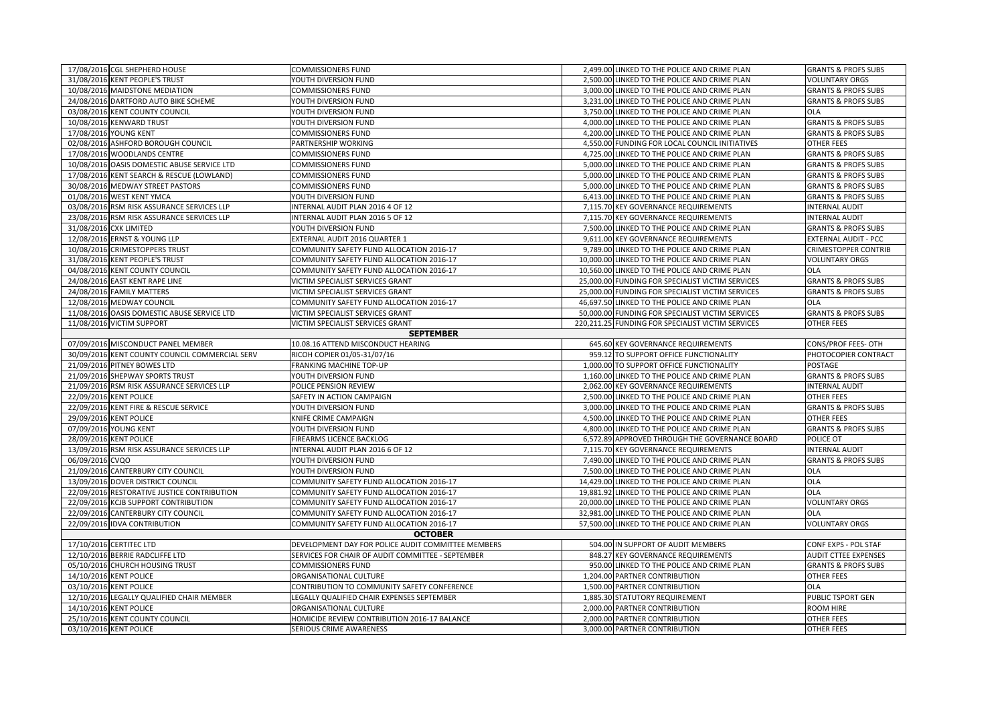|                                                                                 | 17/08/2016 CGL SHEPHERD HOUSE                  | <b>COMMISSIONERS FUND</b>                                                                               |  | 2,499.00 LINKED TO THE POLICE AND CRIME PLAN                                     | <b>GRANTS &amp; PROFS SUBS</b>                                |
|---------------------------------------------------------------------------------|------------------------------------------------|---------------------------------------------------------------------------------------------------------|--|----------------------------------------------------------------------------------|---------------------------------------------------------------|
|                                                                                 | 31/08/2016 KENT PEOPLE'S TRUST                 | YOUTH DIVERSION FUND                                                                                    |  | 2,500.00 LINKED TO THE POLICE AND CRIME PLAN                                     | <b>VOLUNTARY ORGS</b>                                         |
|                                                                                 | 10/08/2016 MAIDSTONE MEDIATION                 | <b>COMMISSIONERS FUND</b>                                                                               |  | 3,000.00 LINKED TO THE POLICE AND CRIME PLAN                                     | <b>GRANTS &amp; PROFS SUBS</b>                                |
|                                                                                 | 24/08/2016 DARTFORD AUTO BIKE SCHEME           | YOUTH DIVERSION FUND                                                                                    |  | 3,231.00 LINKED TO THE POLICE AND CRIME PLAN                                     | <b>GRANTS &amp; PROFS SUBS</b>                                |
|                                                                                 | 03/08/2016 KENT COUNTY COUNCIL                 | YOUTH DIVERSION FUND                                                                                    |  | 3,750.00 LINKED TO THE POLICE AND CRIME PLAN                                     | <b>OLA</b>                                                    |
|                                                                                 | 10/08/2016 KENWARD TRUST                       | YOUTH DIVERSION FUND                                                                                    |  | 4,000.00 LINKED TO THE POLICE AND CRIME PLAN                                     | <b>GRANTS &amp; PROFS SUBS</b>                                |
|                                                                                 | 17/08/2016 YOUNG KENT                          | <b>COMMISSIONERS FUND</b>                                                                               |  | 4,200.00 LINKED TO THE POLICE AND CRIME PLAN                                     | <b>GRANTS &amp; PROFS SUBS</b>                                |
|                                                                                 | 02/08/2016 ASHFORD BOROUGH COUNCIL             | PARTNERSHIP WORKING                                                                                     |  | 4,550.00 FUNDING FOR LOCAL COUNCIL INITIATIVES                                   | <b>OTHER FEES</b>                                             |
|                                                                                 | 17/08/2016 WOODLANDS CENTRE                    | <b>COMMISSIONERS FUND</b>                                                                               |  | 4,725.00 LINKED TO THE POLICE AND CRIME PLAN                                     | <b>GRANTS &amp; PROFS SUBS</b>                                |
|                                                                                 | 10/08/2016 OASIS DOMESTIC ABUSE SERVICE LTD    | <b>COMMISSIONERS FUND</b>                                                                               |  | 5,000.00 LINKED TO THE POLICE AND CRIME PLAN                                     | <b>GRANTS &amp; PROFS SUBS</b>                                |
|                                                                                 | 17/08/2016 KENT SEARCH & RESCUE (LOWLAND)      | <b>COMMISSIONERS FUND</b>                                                                               |  | 5,000.00 LINKED TO THE POLICE AND CRIME PLAN                                     | <b>GRANTS &amp; PROFS SUBS</b>                                |
|                                                                                 | 30/08/2016 MEDWAY STREET PASTORS               | <b>COMMISSIONERS FUND</b>                                                                               |  | 5,000.00 LINKED TO THE POLICE AND CRIME PLAN                                     | <b>GRANTS &amp; PROFS SUBS</b>                                |
|                                                                                 | 01/08/2016 WEST KENT YMCA                      | YOUTH DIVERSION FUND                                                                                    |  | 6,413.00 LINKED TO THE POLICE AND CRIME PLAN                                     | <b>GRANTS &amp; PROFS SUBS</b>                                |
|                                                                                 | 03/08/2016 RSM RISK ASSURANCE SERVICES LLP     | INTERNAL AUDIT PLAN 2016 4 OF 12                                                                        |  | 7,115.70 KEY GOVERNANCE REQUIREMENTS                                             | <b>INTERNAL AUDIT</b>                                         |
|                                                                                 | 23/08/2016 RSM RISK ASSURANCE SERVICES LLP     | INTERNAL AUDIT PLAN 2016 5 OF 12                                                                        |  | 7,115.70 KEY GOVERNANCE REQUIREMENTS                                             | <b>INTERNAL AUDIT</b>                                         |
|                                                                                 | 31/08/2016 CXK LIMITED                         | YOUTH DIVERSION FUND                                                                                    |  | 7,500.00 LINKED TO THE POLICE AND CRIME PLAN                                     | <b>GRANTS &amp; PROFS SUBS</b>                                |
|                                                                                 | 12/08/2016 ERNST & YOUNG LLP                   | EXTERNAL AUDIT 2016 QUARTER 1                                                                           |  | 9,611.00 KEY GOVERNANCE REQUIREMENTS                                             | <b>EXTERNAL AUDIT - PCC</b>                                   |
|                                                                                 | 10/08/2016 CRIMESTOPPERS TRUST                 | COMMUNITY SAFETY FUND ALLOCATION 2016-17                                                                |  | 9,789.00 LINKED TO THE POLICE AND CRIME PLAN                                     | <b>CRIMESTOPPER CONTRIB</b>                                   |
|                                                                                 | 31/08/2016 KENT PEOPLE'S TRUST                 | COMMUNITY SAFETY FUND ALLOCATION 2016-17                                                                |  | 10,000.00 LINKED TO THE POLICE AND CRIME PLAN                                    | <b>VOLUNTARY ORGS</b>                                         |
|                                                                                 | 04/08/2016 KENT COUNTY COUNCIL                 | COMMUNITY SAFETY FUND ALLOCATION 2016-17                                                                |  | 10,560.00 LINKED TO THE POLICE AND CRIME PLAN                                    | <b>OLA</b>                                                    |
|                                                                                 | 24/08/2016 EAST KENT RAPE LINE                 | VICTIM SPECIALIST SERVICES GRANT                                                                        |  | 25,000.00 FUNDING FOR SPECIALIST VICTIM SERVICES                                 | <b>GRANTS &amp; PROFS SUBS</b>                                |
|                                                                                 | 24/08/2016 FAMILY MATTERS                      | VICTIM SPECIALIST SERVICES GRANT                                                                        |  | 25,000.00 FUNDING FOR SPECIALIST VICTIM SERVICES                                 | <b>GRANTS &amp; PROFS SUBS</b>                                |
|                                                                                 | 12/08/2016 MEDWAY COUNCIL                      | COMMUNITY SAFETY FUND ALLOCATION 2016-17                                                                |  | 46,697.50 LINKED TO THE POLICE AND CRIME PLAN                                    | <b>OLA</b>                                                    |
|                                                                                 | 11/08/2016 OASIS DOMESTIC ABUSE SERVICE LTD    | VICTIM SPECIALIST SERVICES GRANT                                                                        |  | 50,000.00 FUNDING FOR SPECIALIST VICTIM SERVICES                                 | <b>GRANTS &amp; PROFS SUBS</b>                                |
|                                                                                 | 11/08/2016 VICTIM SUPPORT                      | VICTIM SPECIALIST SERVICES GRANT                                                                        |  | 220,211.25 FUNDING FOR SPECIALIST VICTIM SERVICES                                | <b>OTHER FEES</b>                                             |
|                                                                                 |                                                | <b>SEPTEMBER</b>                                                                                        |  |                                                                                  |                                                               |
|                                                                                 | 07/09/2016 MISCONDUCT PANEL MEMBER             | 10.08.16 ATTEND MISCONDUCT HEARING                                                                      |  | 645.60 KEY GOVERNANCE REQUIREMENTS                                               | CONS/PROF FEES- OTH                                           |
|                                                                                 | 30/09/2016 KENT COUNTY COUNCIL COMMERCIAL SERV | RICOH COPIER 01/05-31/07/16                                                                             |  | 959.12 TO SUPPORT OFFICE FUNCTIONALITY                                           | PHOTOCOPIER CONTRACT                                          |
|                                                                                 | 21/09/2016 PITNEY BOWES LTD                    | <b>FRANKING MACHINE TOP-UP</b>                                                                          |  | 1,000.00 TO SUPPORT OFFICE FUNCTIONALITY                                         | POSTAGE                                                       |
|                                                                                 | 21/09/2016 SHEPWAY SPORTS TRUST                | YOUTH DIVERSION FUND                                                                                    |  | 1,160.00 LINKED TO THE POLICE AND CRIME PLAN                                     | <b>GRANTS &amp; PROFS SUBS</b>                                |
|                                                                                 | 21/09/2016 RSM RISK ASSURANCE SERVICES LLP     | POLICE PENSION REVIEW                                                                                   |  | 2,062.00 KEY GOVERNANCE REQUIREMENTS                                             | <b>INTERNAL AUDIT</b>                                         |
|                                                                                 | 22/09/2016 KENT POLICE                         | SAFETY IN ACTION CAMPAIGN                                                                               |  | 2,500.00 LINKED TO THE POLICE AND CRIME PLAN                                     | <b>OTHER FEES</b>                                             |
|                                                                                 | 22/09/2016 KENT FIRE & RESCUE SERVICE          | YOUTH DIVERSION FUND                                                                                    |  | 3,000.00 LINKED TO THE POLICE AND CRIME PLAN                                     | <b>GRANTS &amp; PROFS SUBS</b>                                |
|                                                                                 | 29/09/2016 KENT POLICE                         | KNIFE CRIME CAMPAIGN                                                                                    |  | 4,500.00 LINKED TO THE POLICE AND CRIME PLAN                                     | <b>OTHER FEES</b>                                             |
|                                                                                 | 07/09/2016 YOUNG KENT                          | YOUTH DIVERSION FUND                                                                                    |  | 4,800.00 LINKED TO THE POLICE AND CRIME PLAN                                     | <b>GRANTS &amp; PROFS SUBS</b>                                |
|                                                                                 | 28/09/2016 KENT POLICE                         | FIREARMS LICENCE BACKLOG                                                                                |  | 6,572.89 APPROVED THROUGH THE GOVERNANCE BOARD                                   | POLICE OT                                                     |
|                                                                                 | 13/09/2016 RSM RISK ASSURANCE SERVICES LLP     | INTERNAL AUDIT PLAN 2016 6 OF 12                                                                        |  | 7,115.70 KEY GOVERNANCE REQUIREMENTS                                             | <b>INTERNAL AUDIT</b>                                         |
| 06/09/2016                                                                      | CVQO                                           | YOUTH DIVERSION FUND                                                                                    |  | 7,490.00 LINKED TO THE POLICE AND CRIME PLAN                                     | <b>GRANTS &amp; PROFS SUBS</b>                                |
|                                                                                 | 21/09/2016 CANTERBURY CITY COUNCIL             | YOUTH DIVERSION FUND                                                                                    |  | 7,500.00 LINKED TO THE POLICE AND CRIME PLAN                                     | <b>OLA</b>                                                    |
|                                                                                 | 13/09/2016 DOVER DISTRICT COUNCIL              | COMMUNITY SAFETY FUND ALLOCATION 2016-17                                                                |  | 14,429.00 LINKED TO THE POLICE AND CRIME PLAN                                    | <b>OLA</b>                                                    |
|                                                                                 | 22/09/2016 RESTORATIVE JUSTICE CONTRIBUTION    | COMMUNITY SAFETY FUND ALLOCATION 2016-17                                                                |  | 19,881.92 LINKED TO THE POLICE AND CRIME PLAN                                    | <b>OLA</b>                                                    |
|                                                                                 | 22/09/2016 KCJB SUPPORT CONTRIBUTION           | COMMUNITY SAFETY FUND ALLOCATION 2016-17                                                                |  | 20,000.00 LINKED TO THE POLICE AND CRIME PLAN                                    | <b>VOLUNTARY ORGS</b>                                         |
|                                                                                 | 22/09/2016 CANTERBURY CITY COUNCIL             | COMMUNITY SAFETY FUND ALLOCATION 2016-17                                                                |  | 32,981.00 LINKED TO THE POLICE AND CRIME PLAN                                    | OLA                                                           |
|                                                                                 | 22/09/2016 IDVA CONTRIBUTION                   | COMMUNITY SAFETY FUND ALLOCATION 2016-17                                                                |  | 57,500.00 LINKED TO THE POLICE AND CRIME PLAN                                    | <b>VOLUNTARY ORGS</b>                                         |
| <b>OCTOBER</b><br>17/10/2016 CERTITEC LTD<br>504.00 IN SUPPORT OF AUDIT MEMBERS |                                                |                                                                                                         |  |                                                                                  |                                                               |
|                                                                                 | 12/10/2016 BERRIE RADCLIFFE LTD                | DEVELOPMENT DAY FOR POLICE AUDIT COMMITTEE MEMBERS<br>SERVICES FOR CHAIR OF AUDIT COMMITTEE - SEPTEMBER |  |                                                                                  | CONF EXPS - POL STAF                                          |
|                                                                                 | 05/10/2016 CHURCH HOUSING TRUST                | <b>COMMISSIONERS FUND</b>                                                                               |  | 848.27 KEY GOVERNANCE REQUIREMENTS<br>950.00 LINKED TO THE POLICE AND CRIME PLAN | <b>AUDIT CTTEE EXPENSES</b><br><b>GRANTS &amp; PROFS SUBS</b> |
|                                                                                 | 14/10/2016 KENT POLICE                         | ORGANISATIONAL CULTURE                                                                                  |  | 1,204.00 PARTNER CONTRIBUTION                                                    | <b>OTHER FEES</b>                                             |
| 03/10/2016                                                                      | <b>KENT POLICE</b>                             | CONTRIBUTION TO COMMUNITY SAFETY CONFERENCE                                                             |  | 1,500.00 PARTNER CONTRIBUTION                                                    | <b>OLA</b>                                                    |
|                                                                                 | 12/10/2016 LEGALLY QUALIFIED CHAIR MEMBER      | LEGALLY QUALIFIED CHAIR EXPENSES SEPTEMBER                                                              |  | 1,885.30 STATUTORY REQUIREMENT                                                   | PUBLIC TSPORT GEN                                             |
| 14/10/2016                                                                      | <b>KENT POLICE</b>                             | ORGANISATIONAL CULTURE                                                                                  |  | 2,000.00 PARTNER CONTRIBUTION                                                    | <b>ROOM HIRE</b>                                              |
|                                                                                 | 25/10/2016 KENT COUNTY COUNCIL                 | HOMICIDE REVIEW CONTRIBUTION 2016-17 BALANCE                                                            |  | 2,000.00 PARTNER CONTRIBUTION                                                    | <b>OTHER FEES</b>                                             |
|                                                                                 | 03/10/2016 KENT POLICE                         | SERIOUS CRIME AWARENESS                                                                                 |  | 3,000.00 PARTNER CONTRIBUTION                                                    | <b>OTHER FEES</b>                                             |
|                                                                                 |                                                |                                                                                                         |  |                                                                                  |                                                               |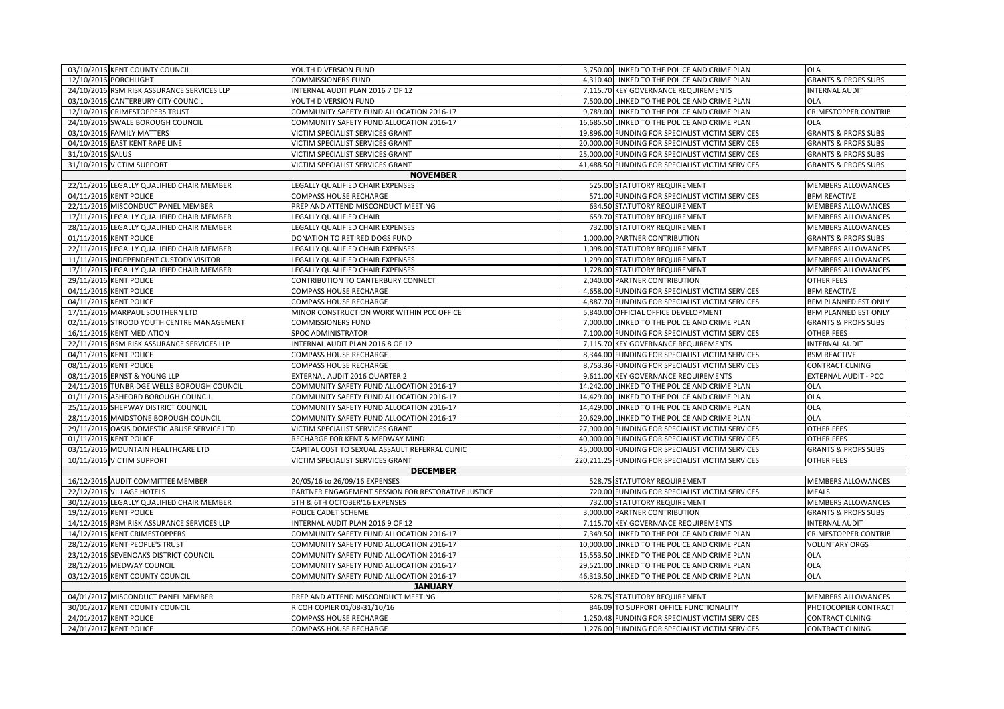| 03/10/2016 KENT COUNTY COUNCIL              | YOUTH DIVERSION FUND                               | 3,750.00 LINKED TO THE POLICE AND CRIME PLAN      | <b>OLA</b>                     |  |  |  |
|---------------------------------------------|----------------------------------------------------|---------------------------------------------------|--------------------------------|--|--|--|
| 12/10/2016 PORCHLIGHT                       | <b>COMMISSIONERS FUND</b>                          | 4,310.40 LINKED TO THE POLICE AND CRIME PLAN      | <b>GRANTS &amp; PROFS SUBS</b> |  |  |  |
| 24/10/2016 RSM RISK ASSURANCE SERVICES LLP  | INTERNAL AUDIT PLAN 2016 7 OF 12                   | 7,115.70 KEY GOVERNANCE REQUIREMENTS              | <b>INTERNAL AUDIT</b>          |  |  |  |
| 03/10/2016 CANTERBURY CITY COUNCIL          | YOUTH DIVERSION FUND                               | 7,500.00 LINKED TO THE POLICE AND CRIME PLAN      | <b>OLA</b>                     |  |  |  |
| 12/10/2016 CRIMESTOPPERS TRUST              | COMMUNITY SAFETY FUND ALLOCATION 2016-17           | 9,789.00 LINKED TO THE POLICE AND CRIME PLAN      | <b>CRIMESTOPPER CONTRIB</b>    |  |  |  |
| 24/10/2016 SWALE BOROUGH COUNCIL            | COMMUNITY SAFETY FUND ALLOCATION 2016-17           | 16,685.50 LINKED TO THE POLICE AND CRIME PLAN     | OLA                            |  |  |  |
| 03/10/2016 FAMILY MATTERS                   | VICTIM SPECIALIST SERVICES GRANT                   | 19,896.00 FUNDING FOR SPECIALIST VICTIM SERVICES  | <b>GRANTS &amp; PROFS SUBS</b> |  |  |  |
| 04/10/2016 EAST KENT RAPE LINE              | VICTIM SPECIALIST SERVICES GRANT                   | 20,000.00 FUNDING FOR SPECIALIST VICTIM SERVICES  | <b>GRANTS &amp; PROFS SUBS</b> |  |  |  |
| 31/10/2016 SALUS                            | VICTIM SPECIALIST SERVICES GRANT                   | 25,000.00 FUNDING FOR SPECIALIST VICTIM SERVICES  | <b>GRANTS &amp; PROFS SUBS</b> |  |  |  |
| 31/10/2016 VICTIM SUPPORT                   | VICTIM SPECIALIST SERVICES GRANT                   | 41,488.50 FUNDING FOR SPECIALIST VICTIM SERVICES  | <b>GRANTS &amp; PROFS SUBS</b> |  |  |  |
|                                             | <b>NOVEMBER</b>                                    |                                                   |                                |  |  |  |
| 22/11/2016 LEGALLY QUALIFIED CHAIR MEMBER   | LEGALLY QUALIFIED CHAIR EXPENSES                   | 525.00 STATUTORY REQUIREMENT                      | MEMBERS ALLOWANCES             |  |  |  |
| 04/11/2016 KENT POLICE                      | <b>COMPASS HOUSE RECHARGE</b>                      | 571.00 FUNDING FOR SPECIALIST VICTIM SERVICES     | <b>BFM REACTIVE</b>            |  |  |  |
| 22/11/2016 MISCONDUCT PANEL MEMBER          | PREP AND ATTEND MISCONDUCT MEETING                 | 634.50 STATUTORY REQUIREMENT                      | <b>MEMBERS ALLOWANCES</b>      |  |  |  |
| 17/11/2016 LEGALLY QUALIFIED CHAIR MEMBER   | LEGALLY QUALIFIED CHAIR                            | 659.70 STATUTORY REQUIREMENT                      | <b>MEMBERS ALLOWANCES</b>      |  |  |  |
| 28/11/2016 LEGALLY QUALIFIED CHAIR MEMBER   | LEGALLY QUALIFIED CHAIR EXPENSES                   | 732.00 STATUTORY REQUIREMENT                      | <b>MEMBERS ALLOWANCES</b>      |  |  |  |
| 01/11/2016 KENT POLICE                      | DONATION TO RETIRED DOGS FUND                      | 1,000.00 PARTNER CONTRIBUTION                     | <b>GRANTS &amp; PROFS SUBS</b> |  |  |  |
| 22/11/2016 LEGALLY QUALIFIED CHAIR MEMBER   | LEGALLY QUALIFIED CHAIR EXPENSES                   | 1,098.00 STATUTORY REQUIREMENT                    | MEMBERS ALLOWANCES             |  |  |  |
| 11/11/2016 INDEPENDENT CUSTODY VISITOR      | LEGALLY QUALIFIED CHAIR EXPENSES                   | 1,299.00 STATUTORY REQUIREMENT                    | MEMBERS ALLOWANCES             |  |  |  |
| 17/11/2016 LEGALLY QUALIFIED CHAIR MEMBER   | LEGALLY QUALIFIED CHAIR EXPENSES                   | 1,728.00 STATUTORY REQUIREMENT                    | <b>MEMBERS ALLOWANCES</b>      |  |  |  |
| 29/11/2016 KENT POLICE                      | CONTRIBUTION TO CANTERBURY CONNECT                 | 2,040.00 PARTNER CONTRIBUTION                     | OTHER FEES                     |  |  |  |
| 04/11/2016 KENT POLICE                      | <b>COMPASS HOUSE RECHARGE</b>                      | 4,658.00 FUNDING FOR SPECIALIST VICTIM SERVICES   | <b>BFM REACTIVE</b>            |  |  |  |
| 04/11/2016 KENT POLICE                      | <b>COMPASS HOUSE RECHARGE</b>                      | 4,887.70 FUNDING FOR SPECIALIST VICTIM SERVICES   | BFM PLANNED EST ONLY           |  |  |  |
| 17/11/2016 MARPAUL SOUTHERN LTD             | MINOR CONSTRUCTION WORK WITHIN PCC OFFICE          | 5,840.00 OFFICIAL OFFICE DEVELOPMENT              | <b>BFM PLANNED EST ONLY</b>    |  |  |  |
| 02/11/2016 STROOD YOUTH CENTRE MANAGEMENT   | <b>COMMISSIONERS FUND</b>                          | 7,000.00 LINKED TO THE POLICE AND CRIME PLAN      | <b>GRANTS &amp; PROFS SUBS</b> |  |  |  |
| 16/11/2016 KENT MEDIATION                   | <b>SPOC ADMINISTRATOR</b>                          | 7,100.00 FUNDING FOR SPECIALIST VICTIM SERVICES   | <b>OTHER FEES</b>              |  |  |  |
| 22/11/2016 RSM RISK ASSURANCE SERVICES LLP  | INTERNAL AUDIT PLAN 2016 8 OF 12                   | 7,115.70 KEY GOVERNANCE REQUIREMENTS              | <b>INTERNAL AUDIT</b>          |  |  |  |
| 04/11/2016 KENT POLICE                      | <b>COMPASS HOUSE RECHARGE</b>                      | 8,344.00 FUNDING FOR SPECIALIST VICTIM SERVICES   | <b>BSM REACTIVE</b>            |  |  |  |
| 08/11/2016 KENT POLICE                      | <b>COMPASS HOUSE RECHARGE</b>                      | 8,753.36 FUNDING FOR SPECIALIST VICTIM SERVICES   | <b>CONTRACT CLNING</b>         |  |  |  |
| 08/11/2016 ERNST & YOUNG LLP                | EXTERNAL AUDIT 2016 QUARTER 2                      | 9,611.00 KEY GOVERNANCE REQUIREMENTS              | <b>EXTERNAL AUDIT - PCC</b>    |  |  |  |
| 24/11/2016 TUNBRIDGE WELLS BOROUGH COUNCIL  | COMMUNITY SAFETY FUND ALLOCATION 2016-17           | 14,242.00 LINKED TO THE POLICE AND CRIME PLAN     | <b>OLA</b>                     |  |  |  |
| 01/11/2016 ASHFORD BOROUGH COUNCIL          | COMMUNITY SAFETY FUND ALLOCATION 2016-17           | 14,429.00 LINKED TO THE POLICE AND CRIME PLAN     | <b>OLA</b>                     |  |  |  |
| 25/11/2016 SHEPWAY DISTRICT COUNCIL         | COMMUNITY SAFETY FUND ALLOCATION 2016-17           | 14,429.00 LINKED TO THE POLICE AND CRIME PLAN     | <b>OLA</b>                     |  |  |  |
| 28/11/2016 MAIDSTONE BOROUGH COUNCIL        | COMMUNITY SAFETY FUND ALLOCATION 2016-17           | 20,629.00 LINKED TO THE POLICE AND CRIME PLAN     | OLA                            |  |  |  |
| 29/11/2016 OASIS DOMESTIC ABUSE SERVICE LTD | VICTIM SPECIALIST SERVICES GRANT                   | 27,900.00 FUNDING FOR SPECIALIST VICTIM SERVICES  | <b>OTHER FEES</b>              |  |  |  |
| 01/11/2016 KENT POLICE                      | RECHARGE FOR KENT & MEDWAY MIND                    | 40,000.00 FUNDING FOR SPECIALIST VICTIM SERVICES  | OTHER FEES                     |  |  |  |
| 03/11/2016 MOUNTAIN HEALTHCARE LTD          | CAPITAL COST TO SEXUAL ASSAULT REFERRAL CLINIC     | 45,000.00 FUNDING FOR SPECIALIST VICTIM SERVICES  | <b>GRANTS &amp; PROFS SUBS</b> |  |  |  |
| 10/11/2016 VICTIM SUPPORT                   | VICTIM SPECIALIST SERVICES GRANT                   | 220,211.25 FUNDING FOR SPECIALIST VICTIM SERVICES | OTHER FEES                     |  |  |  |
| <b>DECEMBER</b>                             |                                                    |                                                   |                                |  |  |  |
| 16/12/2016 AUDIT COMMITTEE MEMBER           | 20/05/16 to 26/09/16 EXPENSES                      | 528.75 STATUTORY REQUIREMENT                      | MEMBERS ALLOWANCES             |  |  |  |
| 22/12/2016 VILLAGE HOTELS                   | PARTNER ENGAGEMENT SESSION FOR RESTORATIVE JUSTICE | 720.00 FUNDING FOR SPECIALIST VICTIM SERVICES     | <b>MEALS</b>                   |  |  |  |
| 30/12/2016 LEGALLY QUALIFIED CHAIR MEMBER   | 5TH & 6TH OCTOBER'16 EXPENSES                      | 732.00 STATUTORY REQUIREMENT                      | MEMBERS ALLOWANCES             |  |  |  |
| 19/12/2016 KENT POLICE                      | POLICE CADET SCHEME                                | 3,000.00 PARTNER CONTRIBUTION                     | <b>GRANTS &amp; PROFS SUBS</b> |  |  |  |
| 14/12/2016 RSM RISK ASSURANCE SERVICES LLP  | INTERNAL AUDIT PLAN 2016 9 OF 12                   | 7,115.70 KEY GOVERNANCE REQUIREMENTS              | <b>INTERNAL AUDIT</b>          |  |  |  |
| 14/12/2016 KENT CRIMESTOPPERS               | COMMUNITY SAFETY FUND ALLOCATION 2016-17           | 7,349.50 LINKED TO THE POLICE AND CRIME PLAN      | <b>CRIMESTOPPER CONTRIB</b>    |  |  |  |
| 28/12/2016 KENT PEOPLE'S TRUST              | COMMUNITY SAFETY FUND ALLOCATION 2016-17           | 10,000.00 LINKED TO THE POLICE AND CRIME PLAN     | <b>VOLUNTARY ORGS</b>          |  |  |  |
| 23/12/2016 SEVENOAKS DISTRICT COUNCIL       | COMMUNITY SAFETY FUND ALLOCATION 2016-17           | 15,553.50 LINKED TO THE POLICE AND CRIME PLAN     | <b>OLA</b>                     |  |  |  |
| 28/12/2016 MEDWAY COUNCIL                   | COMMUNITY SAFETY FUND ALLOCATION 2016-17           | 29,521.00 LINKED TO THE POLICE AND CRIME PLAN     | <b>OLA</b>                     |  |  |  |
| 03/12/2016 KENT COUNTY COUNCIL              | COMMUNITY SAFETY FUND ALLOCATION 2016-17           | 46,313.50 LINKED TO THE POLICE AND CRIME PLAN     | <b>OLA</b>                     |  |  |  |
| 04/01/2017 MISCONDUCT PANEL MEMBER          | <b>JANUARY</b>                                     |                                                   |                                |  |  |  |
|                                             | PREP AND ATTEND MISCONDUCT MEETING                 | 528.75 STATUTORY REQUIREMENT                      | <b>MEMBERS ALLOWANCES</b>      |  |  |  |
| 30/01/2017 KENT COUNTY COUNCIL              | RICOH COPIER 01/08-31/10/16                        | 846.09 TO SUPPORT OFFICE FUNCTIONALITY            | PHOTOCOPIER CONTRACT           |  |  |  |
| 24/01/2017 KENT POLICE                      | <b>COMPASS HOUSE RECHARGE</b>                      | 1,250.48 FUNDING FOR SPECIALIST VICTIM SERVICES   | <b>CONTRACT CLNING</b>         |  |  |  |
| 24/01/2017 KENT POLICE                      | <b>COMPASS HOUSE RECHARGE</b>                      | 1,276.00 FUNDING FOR SPECIALIST VICTIM SERVICES   | <b>CONTRACT CLNING</b>         |  |  |  |